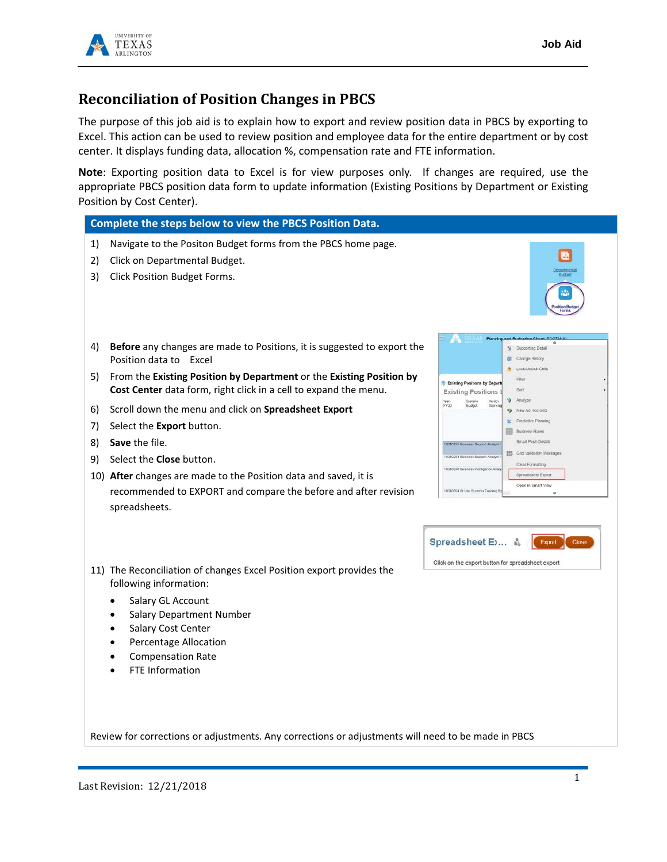

## **Reconciliation of Position Changes in PBCS**

The purpose of this job aid is to explain how to export and review position data in PBCS by exporting to Excel. This action can be used to review position and employee data for the entire department or by cost center. It displays funding data, allocation %, compensation rate and FTE information.

**Note**: Exporting position data to Excel is for view purposes only. If changes are required, use the appropriate PBCS position data form to update information (Existing Positions by Department or Existing Position by Cost Center).

## **Complete the steps below to view the PBCS Position Data.**

- 1) Navigate to the Positon Budget forms from the PBCS home page.
- 2) Click on Departmental Budget.
- 3) Click Position Budget Forms.



- 4) **Before** any changes are made to Positions, it is suggested to export the Position data to Excel
- 5) From the **Existing Position by Department** or the **Existing Position by Cost Center** data form, right click in a cell to expand the menu.
- 6) Scroll down the menu and click on **Spreadsheet Export**
- 7) Select the **Export** button.
- 8) **Save** the file.
- 9) Select the **Close** button.
- 10) **After** changes are made to the Position data and saved, it is recommended to EXPORT and compare the before and after revision spreadsheets.





- 11) The Reconciliation of changes Excel Position export provides the following information:
	- Salary GL Account
	- Salary Department Number
	- Salary Cost Center
	- Percentage Allocation
	- Compensation Rate
	- **FTE Information**

Review for corrections or adjustments. Any corrections or adjustments will need to be made in PBCS